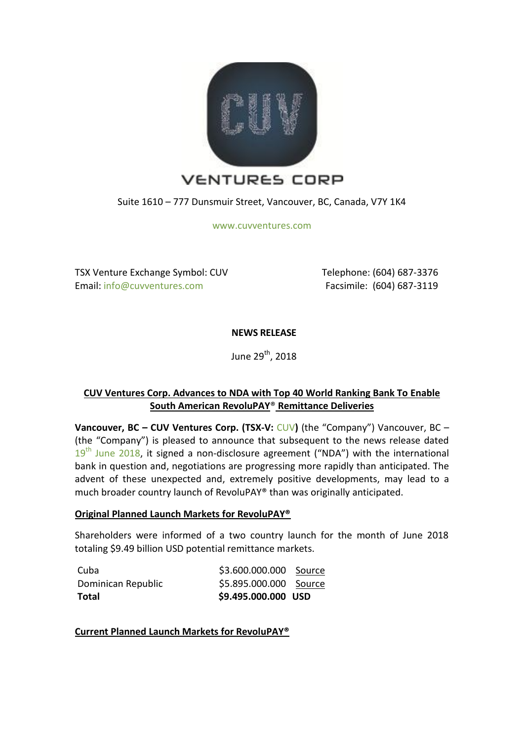

Suite 1610 – 777 Dunsmuir Street, Vancouver, BC, Canada, V7Y 1K4

[www.cuvventures.com](http://www.cuvventures.com/)

TSX Venture Exchange Symbol: CUV Email[: info@cuvventures.com](mailto:info@cuvventures.com)

 Telephone: (604) 687-3376 Facsimile: (604) 687-3119

# **NEWS RELEASE**

June 29<sup>th</sup>, 2018

# **CUV Ventures Corp. Advances to NDA with Top 40 World Ranking Bank To Enable South American RevoluPAY**® **Remittance Deliveries**

**Vancouver, BC – CUV Ventures Corp. (TSX-V:** [CUV](http://web.tmxmoney.com/quote.php?qm_symbol=CUV)**)** (the "Company") Vancouver, BC – (the "Company") is pleased to announce that subsequent to the news release dated  $19<sup>th</sup>$  [June 2018,](https://www.cuvventures.com/assets/docs/2018-06-19-nr-cuv-59fczd.pdf) it signed a non-disclosure agreement ("NDA") with the international bank in question and, negotiations are progressing more rapidly than anticipated. The advent of these unexpected and, extremely positive developments, may lead to a much broader country launch of RevoluPAY® than was originally anticipated.

## **Original Planned Launch Markets for RevoluPAY®**

Shareholders were informed of a two country launch for the month of June 2018 totaling \$9.49 billion USD potential remittance markets.

| Total              | \$9.495.000.000 USD    |  |
|--------------------|------------------------|--|
| Dominican Republic | \$5.895.000.000 Source |  |
| Cuba               | \$3.600.000.000 Source |  |

**Current Planned Launch Markets for RevoluPAY®**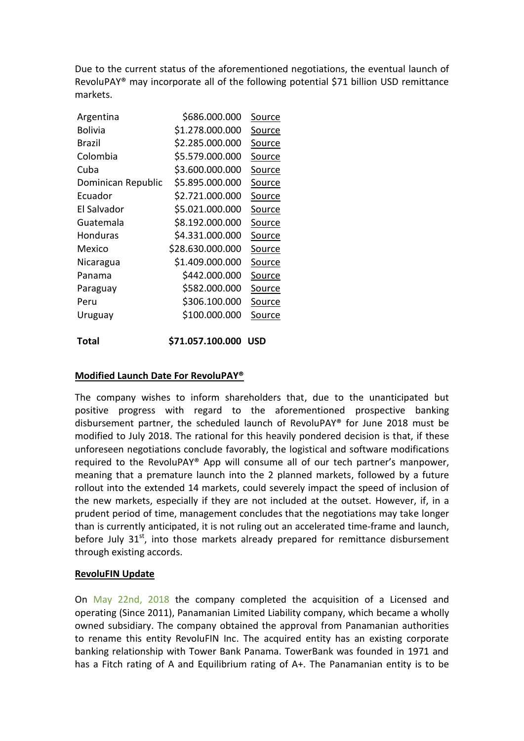Due to the current status of the aforementioned negotiations, the eventual launch of RevoluPAY® may incorporate all of the following potential \$71 billion USD remittance markets.

| Argentina          | \$686.000.000    | Source        |
|--------------------|------------------|---------------|
| <b>Bolivia</b>     | \$1.278.000.000  | Source        |
| Brazil             | \$2.285.000.000  | Source        |
| Colombia           | \$5.579.000.000  | Source        |
| Cuba               | \$3.600.000.000  | Source        |
| Dominican Republic | \$5.895.000.000  | Source        |
| Ecuador            | \$2.721.000.000  | Source        |
| El Salvador        | \$5.021.000.000  | Source        |
| Guatemala          | \$8.192.000.000  | <u>Source</u> |
| <b>Honduras</b>    | \$4.331.000.000  | Source        |
| Mexico             | \$28.630.000.000 | Source        |
| Nicaragua          | \$1.409.000.000  | <u>Source</u> |
| Panama             | \$442.000.000    | Source        |
| Paraguay           | \$582.000.000    | <u>Source</u> |
| Peru               | \$306.100.000    | <u>Source</u> |
| Uruguay            | \$100.000.000    | <u>Source</u> |
| Total              | \$71.057.100.000 | <b>USD</b>    |

#### **Modified Launch Date For RevoluPAY®**

The company wishes to inform shareholders that, due to the unanticipated but positive progress with regard to the aforementioned prospective banking disbursement partner, the scheduled launch of RevoluPAY® for June 2018 must be modified to July 2018. The rational for this heavily pondered decision is that, if these unforeseen negotiations conclude favorably, the logistical and software modifications required to the RevoluPAY® App will consume all of our tech partner's manpower, meaning that a premature launch into the 2 planned markets, followed by a future rollout into the extended 14 markets, could severely impact the speed of inclusion of the new markets, especially if they are not included at the outset. However, if, in a prudent period of time, management concludes that the negotiations may take longer than is currently anticipated, it is not ruling out an accelerated time-frame and launch, before July 31<sup>st</sup>, into those markets already prepared for remittance disbursement through existing accords.

#### **RevoluFIN Update**

On [May 22nd, 2018](https://www.cuvventures.com/assets/docs/2018-05-22_NR_CUV_zMGn8Qs6.pdf) the company completed the acquisition of a Licensed and operating (Since 2011), Panamanian Limited Liability company, which became a wholly owned subsidiary. The company obtained the approval from Panamanian authorities to rename this entity RevoluFIN Inc. The acquired entity has an existing corporate banking relationship with Tower Bank Panama. TowerBank was founded in 1971 and has a Fitch rating of A and Equilibrium rating of A+. The Panamanian entity is to be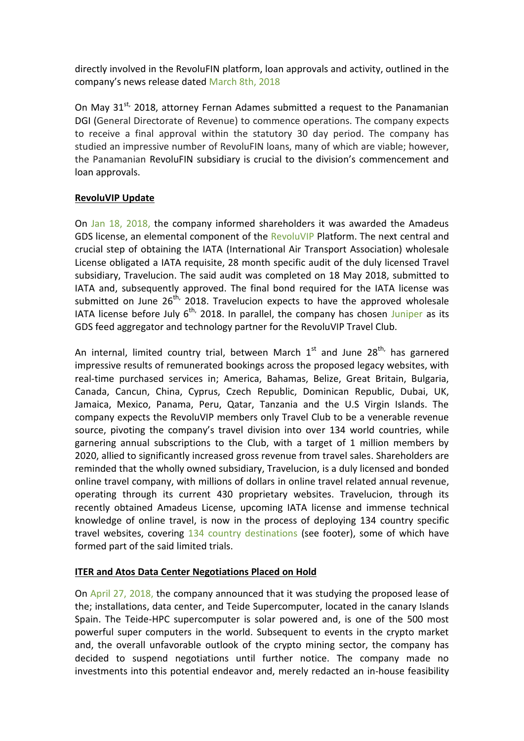directly involved in the RevoluFIN platform, loan approvals and activity, outlined in the company's news release dated [March 8th, 2018](https://www.cuvventures.com/assets/docs/2018-03-08-nr-cuv-pr27wc.pdf)

On May 31<sup>st,</sup> 2018, attorney Fernan Adames submitted a request to the Panamanian DGI (General Directorate of Revenue) to commence operations. The company expects to receive a final approval within the statutory 30 day period. The company has studied an impressive number of RevoluFIN loans, many of which are viable; however, the Panamanian RevoluFIN subsidiary is crucial to the division's commencement and loan approvals.

### **RevoluVIP Update**

On [Jan 18, 2018,](https://www.cuvventures.com/assets/docs/2018-01-18-nr-cuv-0h9p17.pdf) the company informed shareholders it was awarded the Amadeus GDS license, an elemental component of the [RevoluVIP](https://www.cuvventures.com/travel/revoluvip) Platform. The next central and crucial step of obtaining the IATA (International Air Transport Association) wholesale License obligated a IATA requisite, 28 month specific audit of the duly licensed Travel subsidiary, Travelucion. The said audit was completed on 18 May 2018, submitted to IATA and, subsequently approved. The final bond required for the IATA license was submitted on June  $26^{th}$ , 2018. Travelucion expects to have the approved wholesale IATA license before July  $6^{th}$ , 2018. In parallel, the company has chosen [Juniper](https://www.ejuniper.com/) as its GDS feed aggregator and technology partner for the RevoluVIP Travel Club.

An internal, limited country trial, between March  $1^{st}$  and June 28<sup>th,</sup> has garnered impressive results of remunerated bookings across the proposed legacy websites, with real-time purchased services in; America, Bahamas, Belize, Great Britain, Bulgaria, Canada, Cancun, China, Cyprus, Czech Republic, Dominican Republic, Dubai, UK, Jamaica, Mexico, Panama, Peru, Qatar, Tanzania and the U.S Virgin Islands. The company expects the RevoluVIP members only Travel Club to be a venerable revenue source, pivoting the company's travel division into over 134 world countries, while garnering annual subscriptions to the Club, with a target of 1 million members by 2020, allied to significantly increased gross revenue from travel sales. Shareholders are reminded that the wholly owned subsidiary, Travelucion, is a duly licensed and bonded online travel company, with millions of dollars in online travel related annual revenue, operating through its current 430 proprietary websites. Travelucion, through its recently obtained Amadeus License, upcoming IATA license and immense technical knowledge of online travel, is now in the process of deploying 134 country specific travel websites, covering [134 country destinations](http://hotels.canadavip.com/Place/United_States.htm) (see footer), some of which have formed part of the said limited trials.

## **ITER and Atos Data Center Negotiations Placed on Hold**

On [April 27, 2018,](https://www.cuvventures.com/news/cuv-ventures-corp-releases-revolupay-r-beta-3-remittance-and-payment-app-provides-update-on-company-s-divisions) the company announced that it was studying the proposed lease of the; installations, data center, and Teide Supercomputer, located in the canary Islands Spain. The Teide-HPC supercomputer is solar powered and, is one of the 500 most powerful super computers in the world. Subsequent to events in the crypto market and, the overall unfavorable outlook of the crypto mining sector, the company has decided to suspend negotiations until further notice. The company made no investments into this potential endeavor and, merely redacted an in-house feasibility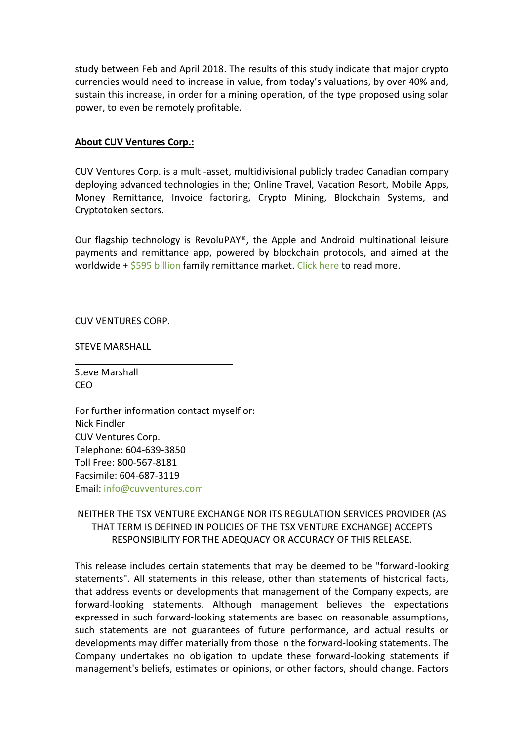study between Feb and April 2018. The results of this study indicate that major crypto currencies would need to increase in value, from today's valuations, by over 40% and, sustain this increase, in order for a mining operation, of the type proposed using solar power, to even be remotely profitable.

#### **About CUV Ventures Corp.:**

CUV Ventures Corp. is a multi-asset, multidivisional publicly traded Canadian company deploying advanced technologies in the; Online Travel, Vacation Resort, Mobile Apps, Money Remittance, Invoice factoring, Crypto Mining, Blockchain Systems, and Cryptotoken sectors.

Our flagship technology is RevoluPAY®, the Apple and Android multinational leisure payments and remittance app, powered by blockchain protocols, and aimed at the worldwide  $+$  \$595 [billion](http://www.worldbank.org/en/topic/migrationremittancesdiasporaissues/brief/migration-remittances-data) family remittance market. [Click here](https://cuvventures.com/about/about-cuv-ventures) to read more.

CUV VENTURES CORP.

STEVE MARSHALL

Steve Marshall CEO

For further information contact myself or: Nick Findler CUV Ventures Corp. Telephone: 604-639-3850 Toll Free: 800-567-8181 Facsimile: 604-687-3119 Email[: info@cuvventures.com](mailto:info@cuvventures.com)

 $\overline{\phantom{a}}$  , where  $\overline{\phantom{a}}$  , where  $\overline{\phantom{a}}$  ,  $\overline{\phantom{a}}$  ,  $\overline{\phantom{a}}$  ,  $\overline{\phantom{a}}$  ,  $\overline{\phantom{a}}$  ,  $\overline{\phantom{a}}$  ,  $\overline{\phantom{a}}$  ,  $\overline{\phantom{a}}$  ,  $\overline{\phantom{a}}$  ,  $\overline{\phantom{a}}$  ,  $\overline{\phantom{a}}$  ,  $\overline{\phantom{a}}$  ,  $\overline{\phantom{a}}$  ,

# NEITHER THE TSX VENTURE EXCHANGE NOR ITS REGULATION SERVICES PROVIDER (AS THAT TERM IS DEFINED IN POLICIES OF THE TSX VENTURE EXCHANGE) ACCEPTS RESPONSIBILITY FOR THE ADEQUACY OR ACCURACY OF THIS RELEASE.

This release includes certain statements that may be deemed to be "forward-looking statements". All statements in this release, other than statements of historical facts, that address events or developments that management of the Company expects, are forward-looking statements. Although management believes the expectations expressed in such forward-looking statements are based on reasonable assumptions, such statements are not guarantees of future performance, and actual results or developments may differ materially from those in the forward-looking statements. The Company undertakes no obligation to update these forward-looking statements if management's beliefs, estimates or opinions, or other factors, should change. Factors